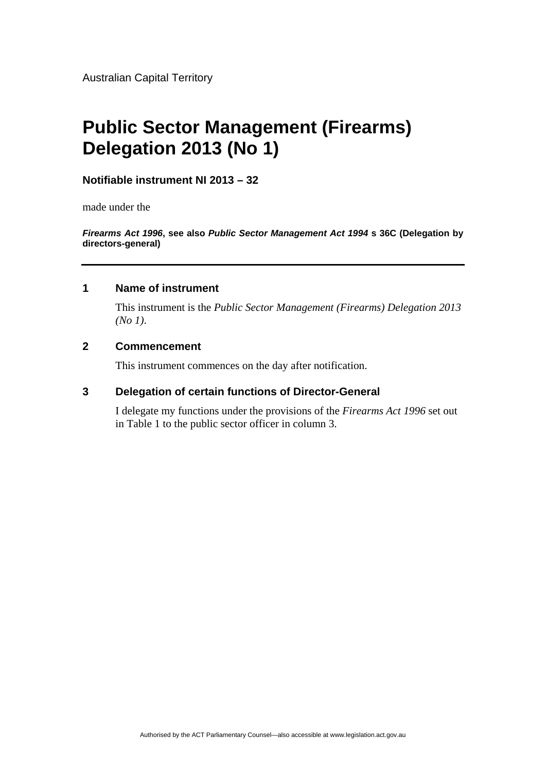Australian Capital Territory

# **Public Sector Management (Firearms) Delegation 2013 (No 1)**

## **Notifiable instrument NI 2013 – 32**

made under the

*Firearms Act 1996***, see also** *Public Sector Management Act 1994* **s 36C (Delegation by directors-general)** 

### **1 Name of instrument**

This instrument is the *Public Sector Management (Firearms) Delegation 2013 (No 1)*.

## **2 Commencement**

This instrument commences on the day after notification.

# **3 Delegation of certain functions of Director-General**

I delegate my functions under the provisions of the *Firearms Act 1996* set out in Table 1 to the public sector officer in column 3.